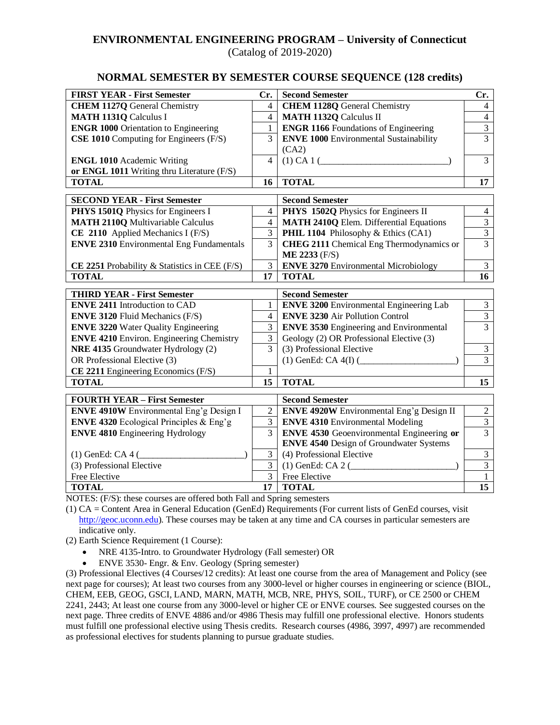# **ENVIRONMENTAL ENGINEERING PROGRAM – University of Connecticut**

(Catalog of 2019-2020)

### **NORMAL SEMESTER BY SEMESTER COURSE SEQUENCE (128 credits)**

| <b>FIRST YEAR - First Semester</b>              | Cr.            | <b>Second Semester</b>                           | Cr.             |
|-------------------------------------------------|----------------|--------------------------------------------------|-----------------|
| <b>CHEM 1127Q</b> General Chemistry             | $\overline{4}$ | <b>CHEM 1128Q</b> General Chemistry              | $\overline{4}$  |
| <b>MATH 1131Q Calculus I</b>                    | $\overline{4}$ | <b>MATH 1132Q Calculus II</b>                    | $\overline{4}$  |
| <b>ENGR 1000 Orientation to Engineering</b>     | 1              | <b>ENGR 1166</b> Foundations of Engineering      | $\overline{3}$  |
| CSE 1010 Computing for Engineers (F/S)          | 3              | <b>ENVE 1000 Environmental Sustainability</b>    | 3               |
|                                                 |                | (CA2)                                            |                 |
| <b>ENGL 1010</b> Academic Writing               | $\overline{4}$ |                                                  | 3               |
| or ENGL 1011 Writing thru Literature (F/S)      |                |                                                  |                 |
| <b>TOTAL</b>                                    | 16             | <b>TOTAL</b>                                     | 17              |
| <b>SECOND YEAR - First Semester</b>             |                | <b>Second Semester</b>                           |                 |
| PHYS 1501Q Physics for Engineers I              | $\overline{4}$ | PHYS 1502Q Physics for Engineers II              | $\overline{4}$  |
| <b>MATH 2110Q Multivariable Calculus</b>        | $\overline{4}$ | <b>MATH 2410Q Elem. Differential Equations</b>   | $\overline{3}$  |
| CE 2110 Applied Mechanics I (F/S)               | 3              | PHIL 1104 Philosophy & Ethics (CA1)              | $\overline{3}$  |
| <b>ENVE 2310 Environmental Eng Fundamentals</b> | $\overline{3}$ | <b>CHEG 2111</b> Chemical Eng Thermodynamics or  | $\overline{3}$  |
|                                                 |                | <b>ME 2233 (F/S)</b>                             |                 |
| CE 2251 Probability & Statistics in CEE (F/S)   | 3              | <b>ENVE 3270 Environmental Microbiology</b>      | $\overline{3}$  |
| <b>TOTAL</b>                                    | 17             | <b>TOTAL</b>                                     | $\overline{16}$ |
| <b>THIRD YEAR - First Semester</b>              |                | <b>Second Semester</b>                           |                 |
| <b>ENVE 2411 Introduction to CAD</b>            | 1              | <b>ENVE 3200</b> Environmental Engineering Lab   | 3               |
| <b>ENVE 3120 Fluid Mechanics (F/S)</b>          | $\overline{4}$ | <b>ENVE 3230 Air Pollution Control</b>           | $\overline{3}$  |
| <b>ENVE 3220</b> Water Quality Engineering      | 3              | <b>ENVE 3530 Engineering and Environmental</b>   | $\overline{3}$  |
| <b>ENVE 4210</b> Environ. Engineering Chemistry | 3              | Geology (2) OR Professional Elective (3)         |                 |
| NRE 4135 Groundwater Hydrology (2)              | 3              | (3) Professional Elective                        | $\overline{3}$  |
| OR Professional Elective (3)                    |                | $(1)$ GenEd: CA 4(I) $($                         | $\overline{3}$  |
| $CE$ 2211 Engineering Economics (F/S)           | 1              |                                                  |                 |
| <b>TOTAL</b>                                    | 15             | <b>TOTAL</b>                                     | 15              |
| <b>FOURTH YEAR - First Semester</b>             |                | <b>Second Semester</b>                           |                 |
| <b>ENVE 4910W</b> Environmental Eng'g Design I  | $\overline{2}$ | ENVE 4920W Environmental Eng'g Design II         | $\overline{2}$  |
| <b>ENVE 4320</b> Ecological Principles & Eng'g  | 3              | <b>ENVE 4310 Environmental Modeling</b>          | $\overline{3}$  |
| <b>ENVE 4810</b> Engineering Hydrology          | $\overline{3}$ | <b>ENVE 4530</b> Geoenvironmental Engineering or | $\overline{3}$  |
|                                                 |                | <b>ENVE 4540</b> Design of Groundwater Systems   |                 |
| $(1)$ GenEd: CA 4 (                             | 3              | (4) Professional Elective                        | 3               |
| (3) Professional Elective                       | $\overline{3}$ | $(1)$ GenEd: CA 2 $($                            | $\overline{3}$  |
| Free Elective                                   | $\overline{3}$ | Free Elective                                    | 1               |
| <b>TOTAL</b>                                    | 17             | <b>TOTAL</b>                                     | 15              |

NOTES: (F/S): these courses are offered both Fall and Spring semesters

(1) CA = Content Area in General Education (GenEd) Requirements (For current lists of GenEd courses, visit [http://geoc.uconn.edu\)](http://geoc.uconn.edu/). These courses may be taken at any time and CA courses in particular semesters are indicative only.

- (2) Earth Science Requirement (1 Course):
	- NRE 4135-Intro. to Groundwater Hydrology (Fall semester) OR
	- ENVE 3530- Engr. & Env. Geology (Spring semester)

(3) Professional Electives (4 Courses/12 credits): At least one course from the area of Management and Policy (see next page for courses); At least two courses from any 3000-level or higher courses in engineering or science (BIOL, CHEM, EEB, GEOG, GSCI, LAND, MARN, MATH, MCB, NRE, PHYS, SOIL, TURF), or CE 2500 or CHEM 2241, 2443; At least one course from any 3000-level or higher CE or ENVE courses. See suggested courses on the next page. Three credits of ENVE 4886 and/or 4986 Thesis may fulfill one professional elective. Honors students must fulfill one professional elective using Thesis credits. Research courses (4986, 3997, 4997) are recommended as professional electives for students planning to pursue graduate studies.